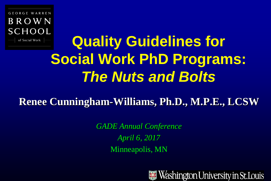GEORGE WARREN BROWN **SCHOOL** of Social Work

# **Quality Guidelines for Social Work PhD Programs:**  *The Nuts and Bolts*

**Renee Cunningham-Williams, Ph.D., M.P.E., LCSW**

*GADE Annual Conference April 6, 2017*  Minneapolis, MN

Washington University in St.Louis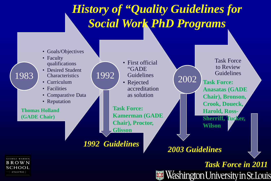## *History of "Quality Guidelines for Social Work PhD Programs*



Washington University in St.Louis



of Social Work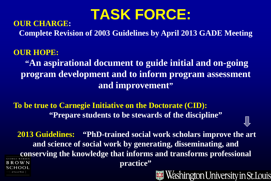# **TASK FORCE:**

#### **OUR CHARGE:**

**Complete Revision of 2003 Guidelines by April 2013 GADE Meeting**

## **OUR HOPE: "An aspirational document to guide initial and on-going program development and to inform program assessment and improvement"**

**To be true to Carnegie Initiative on the Doctorate (CID): "Prepare students to be stewards of the discipline"**

**2013 Guidelines:** "PhD-trained social work scholars improve the art **and science of social work by generating, disseminating, and conserving the knowledge that informs and transforms professional practice"** B R O W N OOL of Social Work Washington University in St.Louis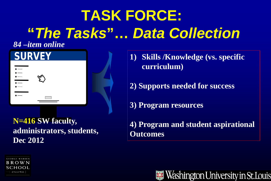# **TASK FORCE: "***The Tasks***"…** *Data Collection*

### *84 –item online*



**N=416 SW faculty, administrators, students, Dec 2012**

**GEORGE WARREN BROWN** SCHOOL of Social Work

- **1) Skills /Knowledge (vs. specific curriculum)**
- **2) Supports needed for success**
- **3) Program resources**
- **4) Program and student aspirational Outcomes**

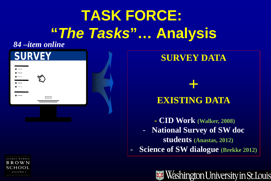# **TASK FORCE: "***The Tasks***"… Analysis**

### *84 –item online*

GEORGE WARREN **BROWN** SCHOOL of Social Work



### **SURVEY DATA**

# **+ EXISTING DATA**

**- CID Work (Walker, 2008)**

- **National Survey of SW doc** 

**students (Anastas, 2012)**

- **Science of SW dialogue (Brekke 2012)**

Washington University in St.Louis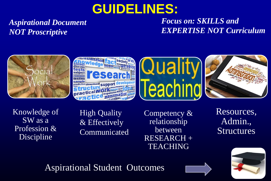# **GUIDELINES:**

*Aspirational Document NOT Proscriptive*

*Focus on: SKILLS and EXPERTISE NOT Curriculum* 









Knowledge of SW as a Profession & Discipline

High Quality & Effectively Communicated Competency & relationship between RESEARCH + **TEACHING** 

Resources, Admin., **Structures** 

Aspirational Student Outcomes



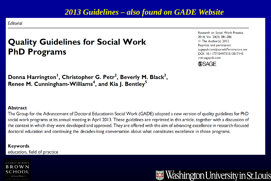### 2013 Guidelines – also found on GADE Website

**Editorial** 

### **Quality Guidelines for Social Work PhD Programs**

Research on Social Work Practice 2014, Vol. 24(3) 281-286 © The Author(s) 2013 Reprints and permission: sagepub.com/journalsPermissions.nav DOI: 10.1177/1049731513517145 rsw.sagepub.com



Donna Harrington<sup>1</sup>, Christopher G. Petr<sup>2</sup>, Beverly M. Black<sup>3</sup>, Renee M. Cunningham-Williams<sup>4</sup>, and Kia J. Bentley<sup>5</sup>

#### **Abstract**

The Group for the Advancement of Doctoral Educationin Social Work (GADE) adopted a new version of quality guidelines for PhD social work programs at its annual meeting in April 2013. These guidelines are reprinted in this article, together with a discussion of the context in which they were developed and approved. They are offered with the aim of advancing excellence in research-focused doctoral education and continuing the decades-long conversation about what constitutes excellence in those programs.

#### **Keywords** education, field of practice